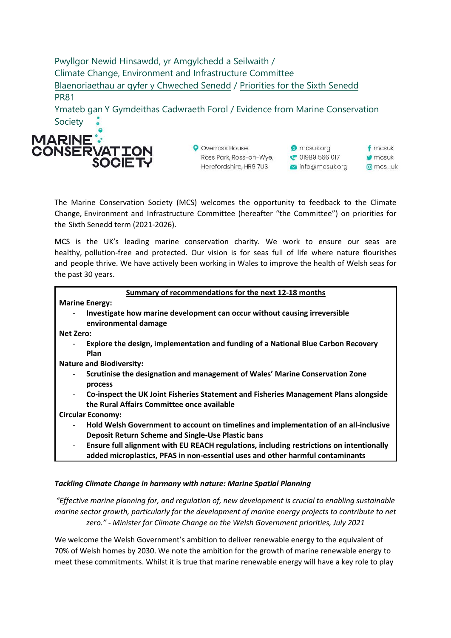Pwyllgor Newid Hinsawdd, yr Amgylchedd a Seilwaith / Climate Change, Environment and Infrastructure Committee [Blaenoriaethau ar gyfer y Chweched Senedd](https://busnes.senedd.cymru/mgConsultationDisplay.aspx?id=427&RPID=1026452002&cp=yes) / [Priorities for the Sixth Senedd](https://business.senedd.wales/mgConsultationDisplay.aspx?id=427&RPID=1026452002&cp=yes) PR81

Ymateb gan Y Gymdeithas Cadwraeth Forol / Evidence from Marine Conservation Society



O Overross House, Ross Park, Ross-on-Wye, Herefordshire, HR9 7US

**D** mcsuk.org ● 01989 566 017 mfo@mcsuk.org

 $f$  mcsuk  $\blacksquare$  mcsuk @ mcs\_uk

The Marine Conservation Society (MCS) welcomes the opportunity to feedback to the Climate Change, Environment and Infrastructure Committee (hereafter "the Committee") on priorities for the Sixth Senedd term (2021-2026).

MCS is the UK's leading marine conservation charity. We work to ensure our seas are healthy, pollution-free and protected. Our vision is for seas full of life where nature flourishes and people thrive. We have actively been working in Wales to improve the health of Welsh seas for the past 30 years.

### **Summary of recommendations for the next 12-18 months**

### **Marine Energy:**

- **Investigate how marine development can occur without causing irreversible environmental damage**

**Net Zero:**

- **Explore the design, implementation and funding of a National Blue Carbon Recovery Plan**

**Nature and Biodiversity:**

- **Scrutinise the designation and management of Wales' Marine Conservation Zone process**
- **Co-inspect the UK Joint Fisheries Statement and Fisheries Management Plans alongside the Rural Affairs Committee once available**

**Circular Economy:**

- **Hold Welsh Government to account on timelines and implementation of an all-inclusive Deposit Return Scheme and Single-Use Plastic bans**
- **Ensure full alignment with EU REACH regulations, including restrictions on intentionally added microplastics, PFAS in non-essential uses and other harmful contaminants**

# *Tackling Climate Change in harmony with nature: Marine Spatial Planning*

*"Effective marine planning for, and regulation of, new development is crucial to enabling sustainable marine sector growth, particularly for the development of marine energy projects to contribute to net zero." - Minister for Climate Change on the Welsh Government priorities, July 2021*

We welcome the Welsh Government's ambition to deliver renewable energy to the equivalent of 70% of Welsh homes by 2030. We note the ambition for the growth of marine renewable energy to meet these commitments. Whilst it is true that marine renewable energy will have a key role to play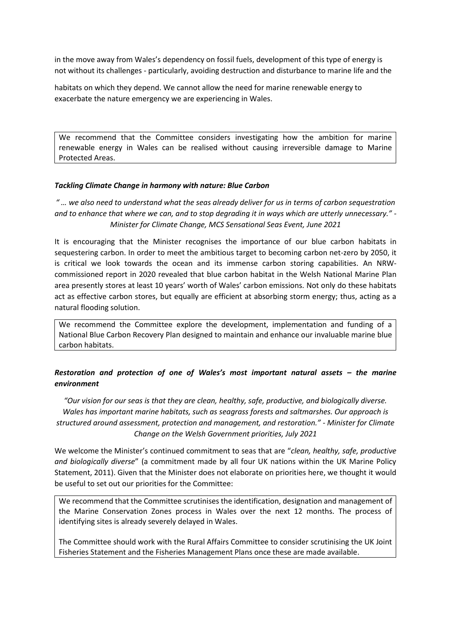in the move away from Wales's dependency on fossil fuels, development of this type of energy is not without its challenges - particularly, avoiding destruction and disturbance to marine life and the

habitats on which they depend. We cannot allow the need for marine renewable energy to exacerbate the nature emergency we are experiencing in Wales.

We recommend that the Committee considers investigating how the ambition for marine renewable energy in Wales can be realised without causing irreversible damage to Marine Protected Areas.

### *Tackling Climate Change in harmony with nature: Blue Carbon*

*" … we also need to understand what the seas already deliver for us in terms of carbon sequestration and to enhance that where we can, and to stop degrading it in ways which are utterly unnecessary." - Minister for Climate Change, MCS Sensational Seas Event, June 2021*

It is encouraging that the Minister recognises the importance of our blue carbon habitats in sequestering carbon. In order to meet the ambitious target to becoming carbon net-zero by 2050, it is critical we look towards the ocean and its immense carbon storing capabilities. An NRWcommissioned report in 2020 revealed that blue carbon habitat in the Welsh National Marine Plan area presently stores at least 10 years' worth of Wales' carbon emissions. Not only do these habitats act as effective carbon stores, but equally are efficient at absorbing storm energy; thus, acting as a natural flooding solution.

We recommend the Committee explore the development, implementation and funding of a National Blue Carbon Recovery Plan designed to maintain and enhance our invaluable marine blue carbon habitats.

# *Restoration and protection of one of Wales's most important natural assets – the marine environment*

*"Our vision for our seas is that they are clean, healthy, safe, productive, and biologically diverse. Wales has important marine habitats, such as seagrass forests and saltmarshes. Our approach is structured around assessment, protection and management, and restoration." - Minister for Climate Change on the Welsh Government priorities, July 2021*

We welcome the Minister's continued commitment to seas that are "*clean, healthy, safe, productive and biologically diverse*" (a commitment made by all four UK nations within the UK Marine Policy Statement, 2011). Given that the Minister does not elaborate on priorities here, we thought it would be useful to set out our priorities for the Committee:

We recommend that the Committee scrutinises the identification, designation and management of the Marine Conservation Zones process in Wales over the next 12 months. The process of identifying sites is already severely delayed in Wales.

The Committee should work with the Rural Affairs Committee to consider scrutinising the UK Joint Fisheries Statement and the Fisheries Management Plans once these are made available.